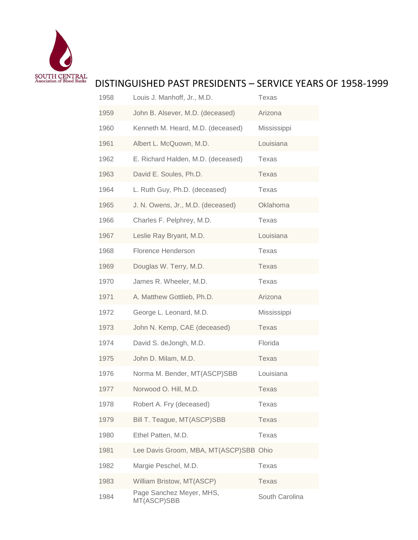

## DISTINGUISHED PAST PRESIDENTS – SERVICE YEARS OF 1958-1999

| 1958 | Louis J. Manhoff, Jr., M.D.             | Texas          |
|------|-----------------------------------------|----------------|
| 1959 | John B. Alsever, M.D. (deceased)        | Arizona        |
| 1960 | Kenneth M. Heard, M.D. (deceased)       | Mississippi    |
| 1961 | Albert L. McQuown, M.D.                 | Louisiana      |
| 1962 | E. Richard Halden, M.D. (deceased)      | Texas          |
| 1963 | David E. Soules, Ph.D.                  | Texas          |
| 1964 | L. Ruth Guy, Ph.D. (deceased)           | Texas          |
| 1965 | J. N. Owens, Jr., M.D. (deceased)       | Oklahoma       |
| 1966 | Charles F. Pelphrey, M.D.               | Texas          |
| 1967 | Leslie Ray Bryant, M.D.                 | Louisiana      |
| 1968 | Florence Henderson                      | Texas          |
| 1969 | Douglas W. Terry, M.D.                  | Texas          |
| 1970 | James R. Wheeler, M.D.                  | Texas          |
| 1971 | A. Matthew Gottlieb, Ph.D.              | Arizona        |
| 1972 | George L. Leonard, M.D.                 | Mississippi    |
| 1973 | John N. Kemp, CAE (deceased)            | Texas          |
| 1974 | David S. deJongh, M.D.                  | Florida        |
| 1975 | John D. Milam, M.D.                     | Texas          |
| 1976 | Norma M. Bender, MT(ASCP)SBB            | Louisiana      |
| 1977 | Norwood O. Hill, M.D.                   | <b>Texas</b>   |
| 1978 | Robert A. Fry (deceased)                | Texas          |
| 1979 | Bill T. Teague, MT(ASCP)SBB             | Texas          |
| 1980 | Ethel Patten, M.D.                      | Texas          |
| 1981 | Lee Davis Groom, MBA, MT(ASCP)SBB Ohio  |                |
| 1982 | Margie Peschel, M.D.                    | <b>Texas</b>   |
| 1983 | William Bristow, MT(ASCP)               | Texas          |
| 1984 | Page Sanchez Meyer, MHS,<br>MT(ASCP)SBB | South Carolina |